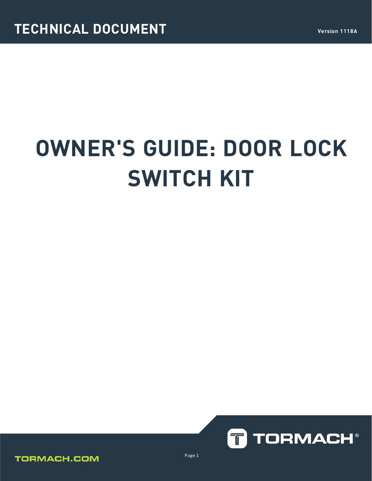# **OWNER'S GUIDE: DOOR LOCK SWITCH KIT**





Page 1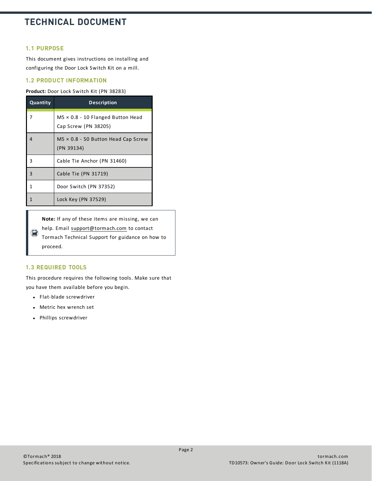## **1.1 PURPOSE**

This document gives instructions on installing and configuring the Door Lock Switch Kit on a mill.

## **1.2 PRODUCT INFORMATION**

#### **Product:** Door Lock Switch Kit (PN 38283)

| Quantity | <b>Description</b>                                               |
|----------|------------------------------------------------------------------|
| 7        | $M5 \times 0.8 - 10$ Flanged Button Head<br>Cap Screw (PN 38205) |
| 4        | $M5 \times 0.8 - 50$ Button Head Cap Screw<br>(PN 39134)         |
| 3        | Cable Tie Anchor (PN 31460)                                      |
| 3        | Cable Tie (PN 31719)                                             |
| 1        | Door Switch (PN 37352)                                           |
|          | Lock Key (PN 37529)                                              |

**Note:** If any of these items are missing, we can

help. Email [support@tormach.com](mailto:support@tormach.com) to contact

 $\bigcirc$ Tormach Technical Support for guidance on how to proceed.

## **1.3 REQUIRED TOOLS**

This procedure requires the following tools. Make sure that you have them available before you begin.

- Flat-blade screwdriver
- Metric hex wrench set
- Phillips screwdriver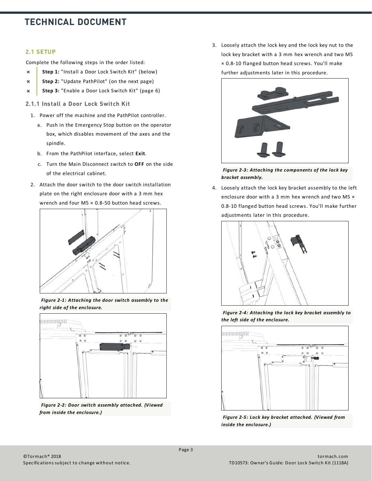## **2.1 SETUP**

Complete the following steps in the order listed:

- **Step 1:** "Install a Door Lock Switch Kit" (below)  $\overline{\mathbf{x}}$
- **Step 2:** ["Update PathPilot" \(on the next page\)](#page-3-0)  $\boldsymbol{\mathsf{x}}$
- <span id="page-2-0"></span>**Step 3:** ["Enable a Door Lock Switch Kit" \(page 6\)](#page-5-0)  $\boldsymbol{\times}$
- **2.1.1 Install a Door Lock Switch Kit**
	- 1. Power off the machine and the PathPilot controller.
		- a. Push in the Emergency Stop button on the operator box, which disables movement of the axes and the spindle.
		- b. From the PathPilot interface, select **Exit**.
		- c. Turn the Main Disconnect switch to **OFF** on the side of the electrical cabinet.
	- 2. Attach the door switch to the door switch installation plate on the right enclosure door with a 3 mm hex wrench and four M5 × 0.8-50 button head screws.



*Figure 2 -1: Attaching the door switch assembly to the right side of the enclosure.*



*Figure 2 -2: Door switch assembly attached. (Viewed from inside the enclosure.)*

3. Loosely attach the lock key and the lock key nut to the lock key bracket with a 3 mm hex wrench and two M5 × 0.8-10 flanged button head screws. You'll make further adjustments later in this procedure.



*Figure 2 -3: Attaching the components of the lock key bracket assembly.*

4. Loosely attach the lock key bracket assembly to the left enclosure door with a 3 mm hex wrench and two M5 × 0.8-10 flanged button head screws. You'll make further adjustments later in this procedure.



*Figure 2 -4: Attaching the lock key bracket assembly to the left side of the enclosure.*



*Figure 2 -5: Lock key bracket attached. (Viewed from inside the enclosure.)*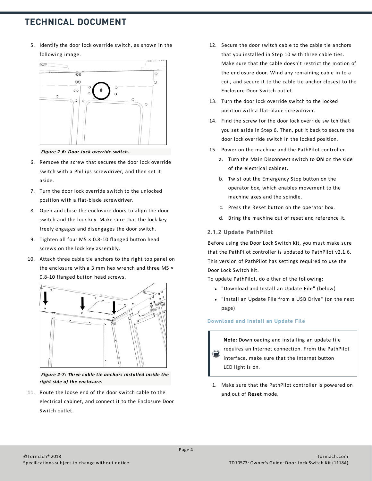5. Identify the door lock override switch, as shown in the following image.



*Figure 2 -6: Door lock override switch.*

- 6. Remove the screw that secures the door lock override switch with a Phillips screwdriver, and then set it aside.
- 7. Turn the door lock override switch to the unlocked position with a flat-blade screwdriver.
- 8. Open and close the enclosure doors to align the door switch and the lock key. Make sure that the lock key freely engages and disengages the door switch.
- 9. Tighten all four M5 × 0.8-10 flanged button head screws on the lock key assembly.
- 10. Attach three cable tie anchors to the right top panel on the enclosure with a 3 mm hex wrench and three M5  $\times$ 0.8-10 flanged button head screws.



*Figure 2 -7: Three cable tie anchors installed inside the right side of the enclosure.*

11. Route the loose end of the door switch cable to the electrical cabinet, and connect it to the Enclosure Door Switch outlet.

- 12. Secure the door switch cable to the cable tie anchors that you installed in Step 10 with three cable ties. Make sure that the cable doesn't restrict the motion of the enclosure door. Wind any remaining cable in to a coil, and secure it to the cable tie anchor closest to the Enclosure Door Switch outlet.
- 13. Turn the door lock override switch to the locked position with a flat-blade screwdriver.
- 14. Find the screw for the door lock override switch that you set aside in Step 6. Then, put it back to secure the door lock override switch in the locked position.
- 15. Power on the machine and the PathPilot controller.
	- a. Turn the Main Disconnect switch to **ON** on the side of the electrical cabinet.
	- b. Twist out the Emergency Stop button on the operator box, which enables movement to the machine axes and the spindle.
	- c. Press the Reset button on the operator box.
	- d. Bring the machine out of reset and reference it.

## <span id="page-3-0"></span>**2.1.2 Update PathPilot**

Before using the Door Lock Switch Kit, you must make sure that the PathPilot controller is updated to PathPilot v2.1.6. This version of PathPilot has settings required to use the Door Lock Switch Kit.

To update PathPilot, do either of the following:

- "Download and Install an Update File" (below)
- <span id="page-3-1"></span>• ["Install an Update File from a USB Drive" \(on the next](#page-4-0) [page\)](#page-4-0)

## **Download and Install an Update File**

**Note:** Downloading and installing an update file requires an Internet connection. From the PathPilot interface, make sure that the Internet button LED light is on.

1. Make sure that the PathPilot controller is powered on and out of **Reset** mode.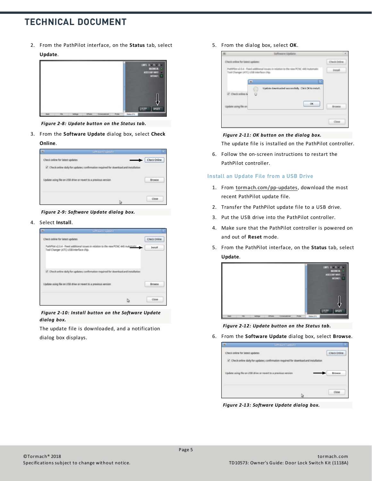2. From the PathPilot interface, on the **Status** tab, select **Update**.



*Figure 2 -8: Update button on the Status tab.*

3. From the **Software Update** dialog box, select **Check Online**.



*Figure 2 -9: Software Update dialog box.*

4. Select **Install**.



*Figure 2 -10: Install button on the Software Update dialog box.*

The update file is downloaded, and a notification dialog box displays.

5. From the dialog box, select **OK**.



#### *Figure 2 -11: OK button on the dialog box.*

The update file is installed on the PathPilot controller.

<span id="page-4-0"></span>6. Follow the on-screen instructions to restart the PathPilot controller.

#### **Install an Update File from a USB Drive**

- 1. From [tormach.com/pp-updates](https://www.tormach.com/support/software/pathpilot/pathpilot-updates-and-notes/), download the most recent PathPilot update file.
- 2. Transfer the PathPilot update file to a USB drive.
- 3. Put the USB drive into the PathPilot controller.
- 4. Make sure that the PathPilot controller is powered on and out of **Reset** mode.
- 5. From the PathPilot interface, on the **Status** tab, select **Update**.



*Figure 2 -12: Update button on the Status tab.*

6. From the **Software Update** dialog box, select **Browse**.

| ٠                               | Software Update                                                                         |                     |
|---------------------------------|-----------------------------------------------------------------------------------------|---------------------|
| Check online for latest updates |                                                                                         | <b>Check Online</b> |
|                                 | 52. Check online daily for updates; confirmation required for download and installation |                     |
|                                 | Update using file on USB drive or revert to a previous version                          | Browse              |
|                                 |                                                                                         | Close               |

*Figure 2 -13: Software Update dialog box.*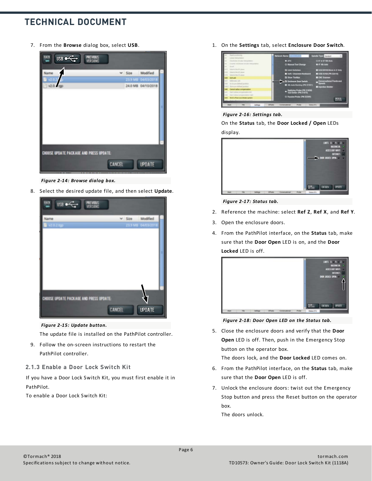7. From the **Browse** dialog box, select **USB**.

| 暋<br>$\frac{1}{2}$<br><b>PREVIOUS</b>   |  |                    |  |
|-----------------------------------------|--|--------------------|--|
|                                         |  | v Size Modified    |  |
|                                         |  | 23.9 MB 04/03/201  |  |
|                                         |  | 24.0 MB 04/10/2018 |  |
|                                         |  |                    |  |
| CHOOSE UPDATE PACKAGE AND PRESS UPDATE: |  |                    |  |
| <b>CANCEL</b>                           |  | <b>UPDATE</b>      |  |

*Figure 2 -14: Browse dialog box.*

8. Select the desired update file, and then select **Update**.



*Figure 2 -15: Update button.*

The update file is installed on the PathPilot controller.

- 9. Follow the on-screen instructions to restart the PathPilot controller.
- <span id="page-5-0"></span>**2.1.3 Enable a Door Lock Switch Kit**

If you have a Door Lock Switch Kit, you must first enable it in PathPilot.

To enable a Door Lock Switch Kit:

1. On the **Settings** tab, select **Enclosure Door Switch**.



### *Figure 2 -16: Settings tab.*

On the **Status** tab, the **Door Locked / Open** LEDs display.



#### *Figure 2 -17: Status tab.*

- 2. Reference the machine: select **Ref Z**, **Ref X**, and **Ref Y**.
- 3. Open the enclosure doors.
- 4. From the PathPilot interface, on the **Status** tab, make sure that the **Door Open** LED is on, and the **Door Locked** LED is off.



*Figure 2 -18: Door Open LED on the Status tab.*

5. Close the enclosure doors and verify that the **Door Open** LED is off. Then, push in the Emergency Stop button on the operator box.

The doors lock, and the **Door Locked** LED comes on.

- 6. From the PathPilot interface, on the **Status** tab, make sure that the **Door Open** LED is off.
- 7. Unlock the enclosure doors: twist out the Emergency Stop button and press the Reset button on the operator box.

The doors unlock.